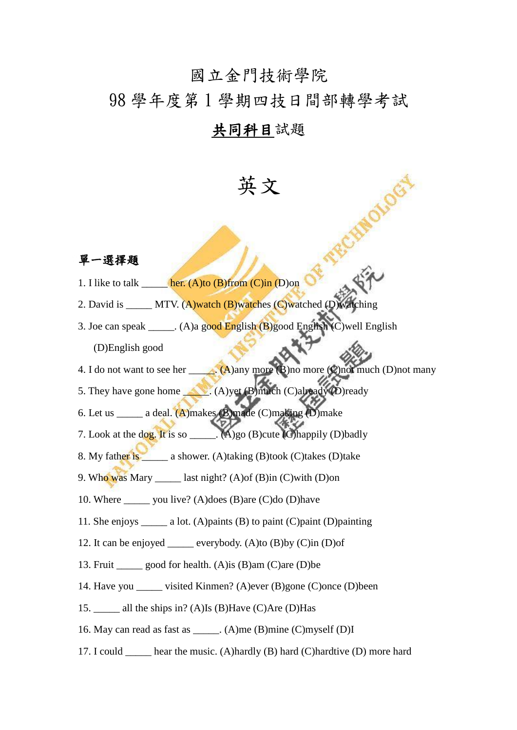## 國立金門技術學院

## 98 學年度第 1 學期四技日間部轉學考試

## 共同科目試題

英文

## 單一選擇題

- 1. I like to talk  $\qquad$  her. (A)to (B)from (C)in (D)on
- 2. David is \_\_\_\_\_ MTV. (A)watch (B)watches (C)watched (D)w
- 3. Joe can speak \_\_\_\_\_. (A)a good English (B)good English (C)well English (D)English good
- 4. I do not want to see her  $\qquad \qquad$  (A)any more (B)no more (C)not much (D)not many
- 5. They have gone home \_\_\_\_. (A)yet (B)much (C)already (D)ready
- 6. Let us  $a$  deal. (A)makes (B)made (C)making (D)make
- 7. Look at the dog. It is so  $\qquad (A)$ go (B)cute (C)happily (D)badly
- 8. My father is \_\_\_\_\_\_ a shower. (A)taking (B)took (C)takes (D)take
- 9. Who was Mary \_\_\_\_\_ last night? (A)of (B)in (C)with (D)on
- 10. Where \_\_\_\_\_ you live? (A)does (B)are (C)do (D)have
- 11. She enjoys \_\_\_\_\_ a lot. (A)paints (B) to paint (C)paint (D)painting
- 12. It can be enjoyed \_\_\_\_\_ everybody. (A)to (B)by (C)in (D)of
- 13. Fruit good for health. (A) is  $(B)$ am (C)are (D) be
- 14. Have you \_\_\_\_\_ visited Kinmen? (A)ever (B)gone (C)once (D)been
- 15. \_\_\_\_\_ all the ships in? (A)Is (B)Have (C)Are (D)Has
- 16. May can read as fast as \_\_\_\_\_. (A)me (B)mine (C)myself (D)I
- 17. I could hear the music. (A)hardly  $(B)$  hard  $(C)$ hardtive  $(D)$  more hard